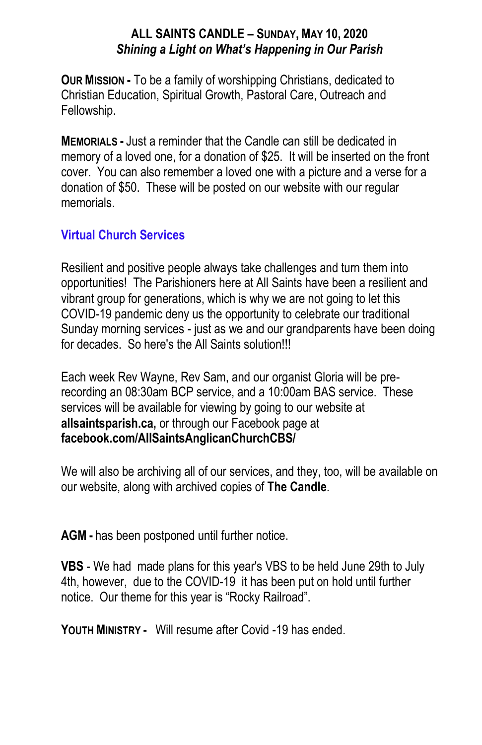## **ALL SAINTS CANDLE – SUNDAY, MAY 10, 2020** *Shining a Light on What's Happening in Our Parish*

**OUR MISSION -** To be a family of worshipping Christians, dedicated to Christian Education, Spiritual Growth, Pastoral Care, Outreach and Fellowship.

**MEMORIALS -** Just a reminder that the Candle can still be dedicated in memory of a loved one, for a donation of \$25. It will be inserted on the front cover. You can also remember a loved one with a picture and a verse for a donation of \$50. These will be posted on our website with our regular memorials.

## **Virtual Church Services**

Resilient and positive people always take challenges and turn them into opportunities! The Parishioners here at All Saints have been a resilient and vibrant group for generations, which is why we are not going to let this COVID-19 pandemic deny us the opportunity to celebrate our traditional Sunday morning services - just as we and our grandparents have been doing for decades. So here's the All Saints solution!!!

Each week Rev Wayne, Rev Sam, and our organist Gloria will be prerecording an 08:30am BCP service, and a 10:00am BAS service. These services will be available for viewing by going to our website at **allsaintsparish.ca,** or through our Facebook page at **facebook.com/AllSaintsAnglicanChurchCBS/**

We will also be archiving all of our services, and they, too, will be available on our website, along with archived copies of **The Candle**.

**AGM -** has been postponed until further notice.

**VBS** - We had made plans for this year's VBS to be held June 29th to July 4th, however, due to the COVID-19 it has been put on hold until further notice. Our theme for this year is "Rocky Railroad".

**YOUTH MINISTRY -** Will resume after Covid -19 has ended.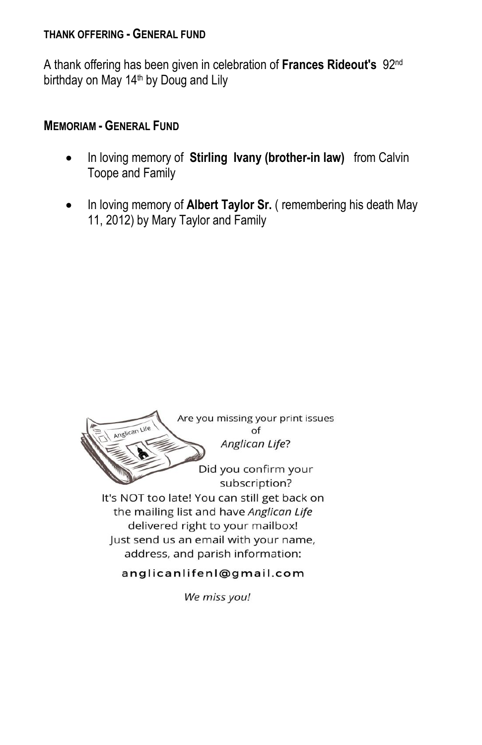#### **THANK OFFERING - GENERAL FUND**

A thank offering has been given in celebration of **Frances Rideout's** 92nd birthday on May 14<sup>th</sup> by Doug and Lily

### **MEMORIAM - GENERAL FUND**

- In loving memory of **Stirling Ivany (brother-in law)** from Calvin Toope and Family
- In loving memory of **Albert Taylor Sr.** ( remembering his death May 11, 2012) by Mary Taylor and Family



We miss you!